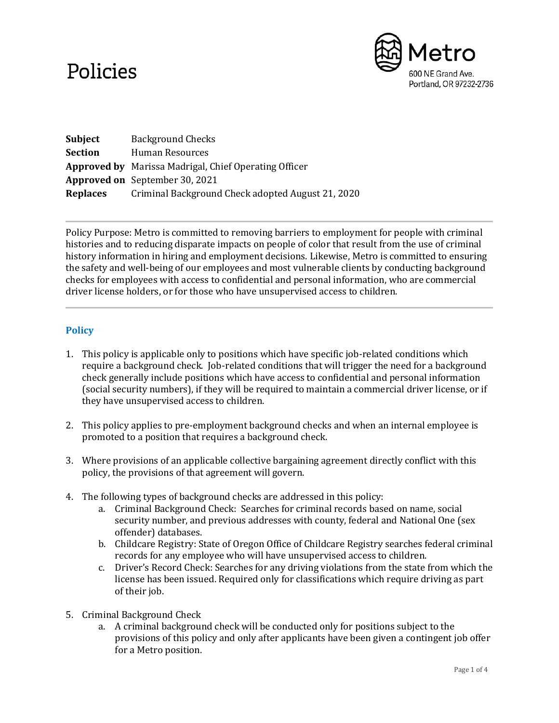## Policies



| Subject         | <b>Background Checks</b>                                     |
|-----------------|--------------------------------------------------------------|
| <b>Section</b>  | Human Resources                                              |
|                 | <b>Approved by</b> Marissa Madrigal, Chief Operating Officer |
|                 | <b>Approved on</b> September 30, 2021                        |
| <b>Replaces</b> | Criminal Background Check adopted August 21, 2020            |

Policy Purpose: Metro is committed to removing barriers to employment for people with criminal histories and to reducing disparate impacts on people of color that result from the use of criminal history information in hiring and employment decisions. Likewise, Metro is committed to ensuring the safety and well-being of our employees and most vulnerable clients by conducting background checks for employees with access to confidential and personal information, who are commercial driver license holders, or for those who have unsupervised access to children.

## **Policy**

- 1. This policy is applicable only to positions which have specific job-related conditions which require a background check. Job-related conditions that will trigger the need for a background check generally include positions which have access to confidential and personal information (social security numbers), if they will be required to maintain a commercial driver license, or if they have unsupervised access to children.
- 2. This policy applies to pre-employment background checks and when an internal employee is promoted to a position that requires a background check.
- 3. Where provisions of an applicable collective bargaining agreement directly conflict with this policy, the provisions of that agreement will govern.
- 4. The following types of background checks are addressed in this policy:
	- a. Criminal Background Check: Searches for criminal records based on name, social security number, and previous addresses with county, federal and National One (sex offender) databases.
	- b. Childcare Registry: State of Oregon Office of Childcare Registry searches federal criminal records for any employee who will have unsupervised access to children.
	- c. Driver's Record Check: Searches for any driving violations from the state from which the license has been issued. Required only for classifications which require driving as part of their job.
- 5. Criminal Background Check
	- a. A criminal background check will be conducted only for positions subject to the provisions of this policy and only after applicants have been given a contingent job offer for a Metro position.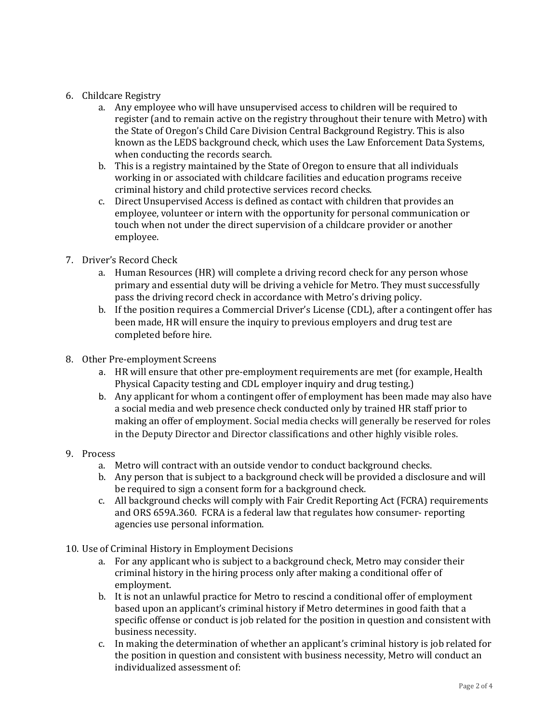## 6. Childcare Registry

- a. Any employee who will have unsupervised access to children will be required to register (and to remain active on the registry throughout their tenure with Metro) with the State of Oregon's Child Care Division Central Background Registry. This is also known as the LEDS background check, which uses the Law Enforcement Data Systems, when conducting the records search.
- b. This is a registry maintained by the State of Oregon to ensure that all individuals working in or associated with childcare facilities and education programs receive criminal history and child protective services record checks.
- c. Direct Unsupervised Access is defined as contact with children that provides an employee, volunteer or intern with the opportunity for personal communication or touch when not under the direct supervision of a childcare provider or another employee.
- 7. Driver's Record Check
	- a. Human Resources (HR) will complete a driving record check for any person whose primary and essential duty will be driving a vehicle for Metro. They must successfully pass the driving record check in accordance with Metro's driving policy.
	- b. If the position requires a Commercial Driver's License (CDL), after a contingent offer has been made, HR will ensure the inquiry to previous employers and drug test are completed before hire.
- 8. Other Pre-employment Screens
	- a. HR will ensure that other pre-employment requirements are met (for example, Health Physical Capacity testing and CDL employer inquiry and drug testing.)
	- b. Any applicant for whom a contingent offer of employment has been made may also have a social media and web presence check conducted only by trained HR staff prior to making an offer of employment. Social media checks will generally be reserved for roles in the Deputy Director and Director classifications and other highly visible roles.

## 9. Process

- a. Metro will contract with an outside vendor to conduct background checks.
- b. Any person that is subject to a background check will be provided a disclosure and will be required to sign a consent form for a background check.
- c. All background checks will comply with Fair Credit Reporting Act (FCRA) requirements and ORS 659A.360. FCRA is a federal law that regulates how consumer- reporting agencies use personal information.
- 10. Use of Criminal History in Employment Decisions
	- a. For any applicant who is subject to a background check, Metro may consider their criminal history in the hiring process only after making a conditional offer of employment.
	- b. It is not an unlawful practice for Metro to rescind a conditional offer of employment based upon an applicant's criminal history if Metro determines in good faith that a specific offense or conduct is job related for the position in question and consistent with business necessity.
	- c. In making the determination of whether an applicant's criminal history is job related for the position in question and consistent with business necessity, Metro will conduct an individualized assessment of: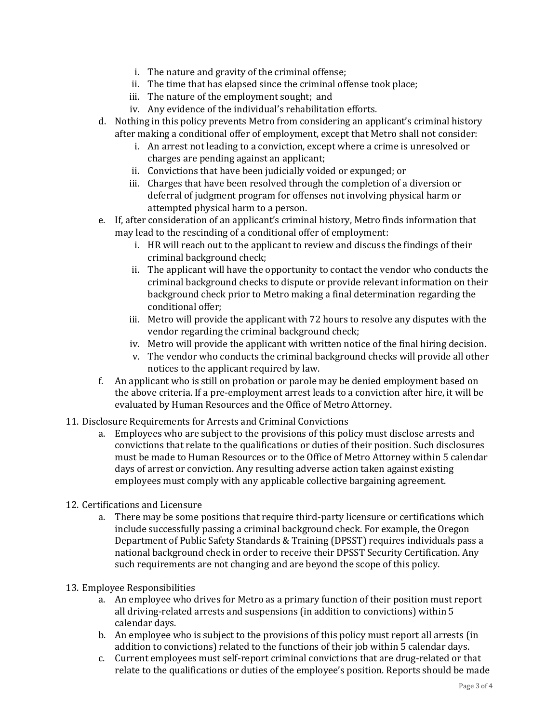- i. The nature and gravity of the criminal offense;
- ii. The time that has elapsed since the criminal offense took place;
- iii. The nature of the employment sought; and
- iv. Any evidence of the individual's rehabilitation efforts.
- d. Nothing in this policy prevents Metro from considering an applicant's criminal history after making a conditional offer of employment, except that Metro shall not consider:
	- i. An arrest not leading to a conviction, except where a crime is unresolved or charges are pending against an applicant;
	- ii. Convictions that have been judicially voided or expunged; or
	- iii. Charges that have been resolved through the completion of a diversion or deferral of judgment program for offenses not involving physical harm or attempted physical harm to a person.
- e. If, after consideration of an applicant's criminal history, Metro finds information that may lead to the rescinding of a conditional offer of employment:
	- i. HR will reach out to the applicant to review and discuss the findings of their criminal background check;
	- ii. The applicant will have the opportunity to contact the vendor who conducts the criminal background checks to dispute or provide relevant information on their background check prior to Metro making a final determination regarding the conditional offer;
	- iii. Metro will provide the applicant with 72 hours to resolve any disputes with the vendor regarding the criminal background check;
	- iv. Metro will provide the applicant with written notice of the final hiring decision.
	- v. The vendor who conducts the criminal background checks will provide all other notices to the applicant required by law.
- f. An applicant who is still on probation or parole may be denied employment based on the above criteria. If a pre-employment arrest leads to a conviction after hire, it will be evaluated by Human Resources and the Office of Metro Attorney.
- 11. Disclosure Requirements for Arrests and Criminal Convictions
	- a. Employees who are subject to the provisions of this policy must disclose arrests and convictions that relate to the qualifications or duties of their position. Such disclosures must be made to Human Resources or to the Office of Metro Attorney within 5 calendar days of arrest or conviction. Any resulting adverse action taken against existing employees must comply with any applicable collective bargaining agreement.
- 12. Certifications and Licensure
	- a. There may be some positions that require third-party licensure or certifications which include successfully passing a criminal background check. For example, the Oregon Department of Public Safety Standards & Training (DPSST) requires individuals pass a national background check in order to receive their DPSST Security Certification. Any such requirements are not changing and are beyond the scope of this policy.
- 13. Employee Responsibilities
	- a. An employee who drives for Metro as a primary function of their position must report all driving-related arrests and suspensions (in addition to convictions) within 5 calendar days.
	- b. An employee who is subject to the provisions of this policy must report all arrests (in addition to convictions) related to the functions of their job within 5 calendar days.
	- c. Current employees must self-report criminal convictions that are drug-related or that relate to the qualifications or duties of the employee's position. Reports should be made